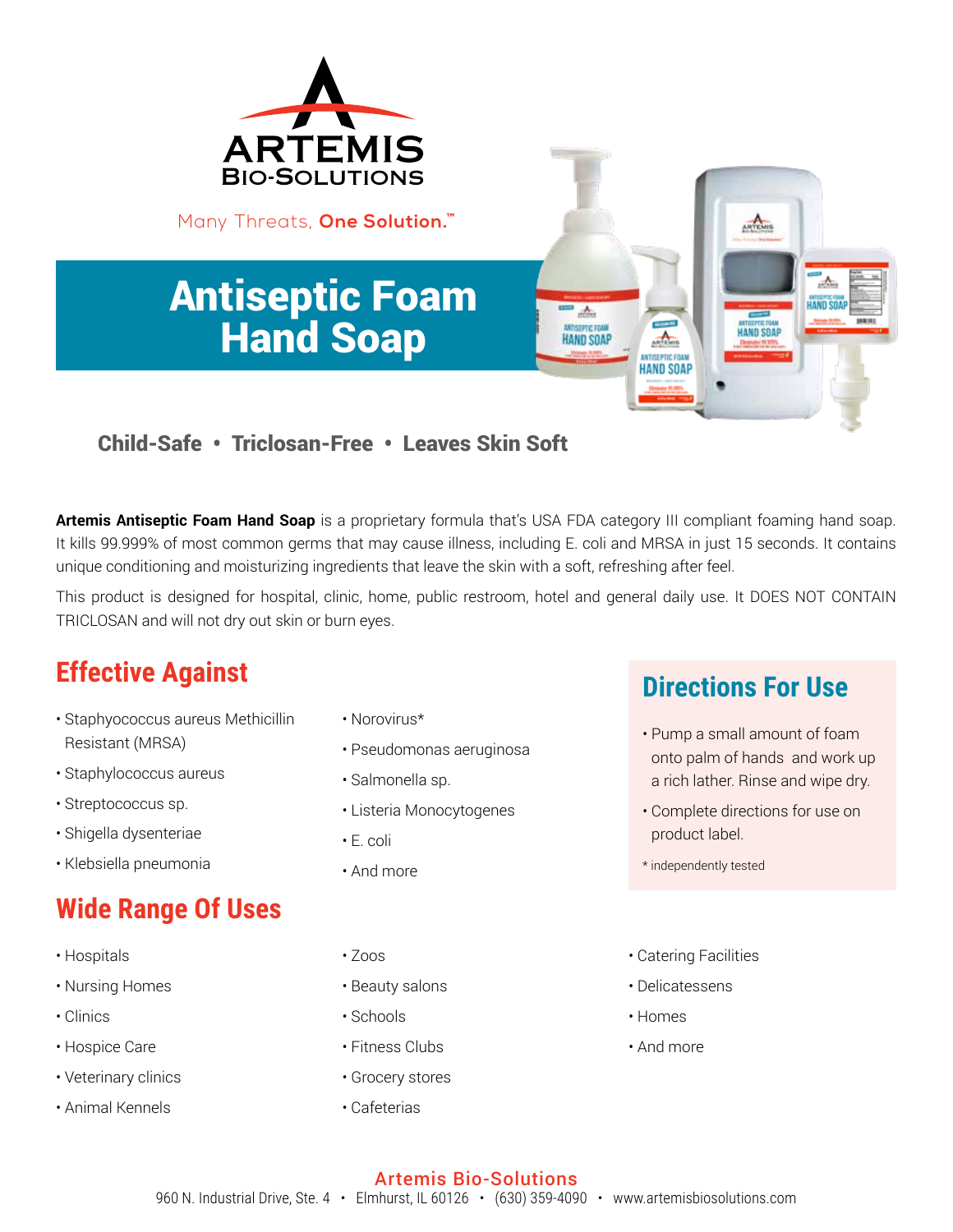

#### Child-Safe • Triclosan-Free • Leaves Skin Soft

**Artemis Antiseptic Foam Hand Soap** is a proprietary formula that's USA FDA category III compliant foaming hand soap. It kills 99.999% of most common germs that may cause illness, including E. coli and MRSA in just 15 seconds. It contains unique conditioning and moisturizing ingredients that leave the skin with a soft, refreshing after feel.

This product is designed for hospital, clinic, home, public restroom, hotel and general daily use. It DOES NOT CONTAIN TRICLOSAN and will not dry out skin or burn eyes.

## **Effective Against**

- Staphyococcus aureus Methicillin Resistant (MRSA)
- Staphylococcus aureus
- Streptococcus sp.
- Shigella dysenteriae
- Klebsiella pneumonia

# **Wide Range Of Uses**

- Hospitals
- Nursing Homes
- Clinics
- Hospice Care
- Veterinary clinics
- Animal Kennels
- Norovirus\*
- Pseudomonas aeruginosa
- Salmonella sp.
- Listeria Monocytogenes
- E. coli
- And more

### **Directions For Use**

- Pump a small amount of foam onto palm of hands and work up a rich lather. Rinse and wipe dry.
- Complete directions for use on product label.
- \* independently tested
- Catering Facilities
- Delicatessens
- Homes
- And more

#### Artemis Bio-Solutions 960 N. Industrial Drive, Ste. 4 · Elmhurst, IL 60126 · (630) 359-4090 · www.artemisbiosolutions.com

- Zoos
- Beauty salons
- Schools
- Fitness Clubs
- Grocery stores
- Cafeterias